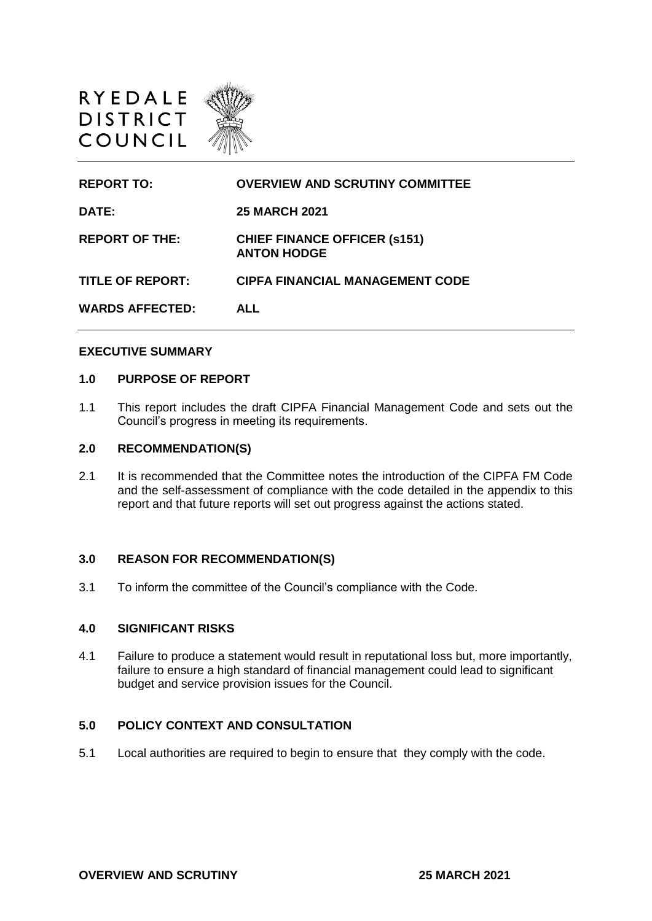

| <b>REPORT TO:</b>       | <b>OVERVIEW AND SCRUTINY COMMITTEE</b>                    |
|-------------------------|-----------------------------------------------------------|
| DATE:                   | <b>25 MARCH 2021</b>                                      |
| <b>REPORT OF THE:</b>   | <b>CHIEF FINANCE OFFICER (s151)</b><br><b>ANTON HODGE</b> |
| <b>TITLE OF REPORT:</b> | <b>CIPFA FINANCIAL MANAGEMENT CODE</b>                    |
| <b>WARDS AFFECTED:</b>  | <b>ALL</b>                                                |

#### **EXECUTIVE SUMMARY**

## **1.0 PURPOSE OF REPORT**

1.1 This report includes the draft CIPFA Financial Management Code and sets out the Council's progress in meeting its requirements.

## **2.0 RECOMMENDATION(S)**

2.1 It is recommended that the Committee notes the introduction of the CIPFA FM Code and the self-assessment of compliance with the code detailed in the appendix to this report and that future reports will set out progress against the actions stated.

#### **3.0 REASON FOR RECOMMENDATION(S)**

3.1 To inform the committee of the Council's compliance with the Code.

## **4.0 SIGNIFICANT RISKS**

4.1 Failure to produce a statement would result in reputational loss but, more importantly, failure to ensure a high standard of financial management could lead to significant budget and service provision issues for the Council.

## **5.0 POLICY CONTEXT AND CONSULTATION**

5.1 Local authorities are required to begin to ensure that they comply with the code.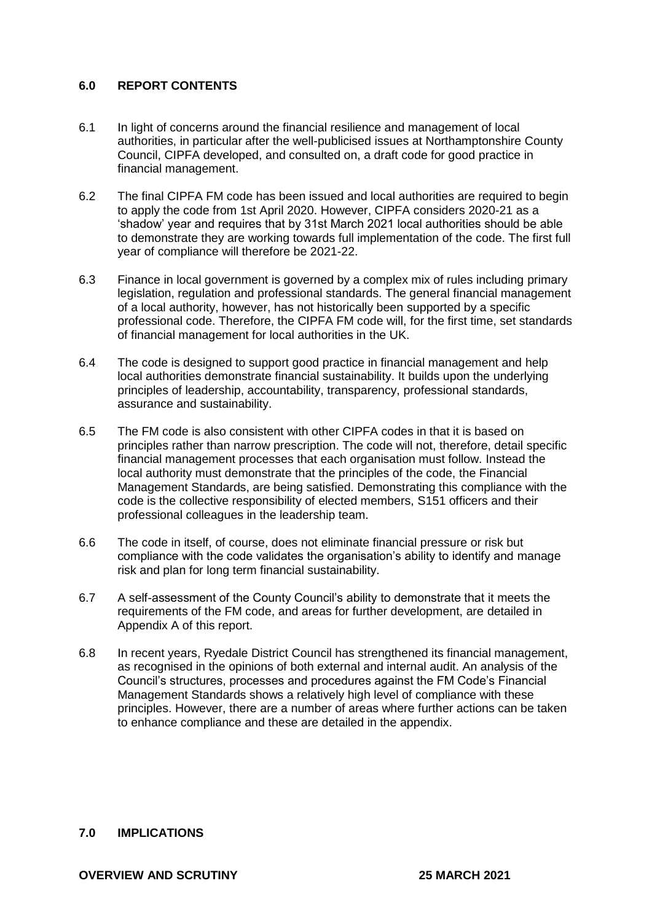# **6.0 REPORT CONTENTS**

- 6.1 In light of concerns around the financial resilience and management of local authorities, in particular after the well-publicised issues at Northamptonshire County Council, CIPFA developed, and consulted on, a draft code for good practice in financial management.
- 6.2 The final CIPFA FM code has been issued and local authorities are required to begin to apply the code from 1st April 2020. However, CIPFA considers 2020-21 as a 'shadow' year and requires that by 31st March 2021 local authorities should be able to demonstrate they are working towards full implementation of the code. The first full year of compliance will therefore be 2021-22.
- 6.3 Finance in local government is governed by a complex mix of rules including primary legislation, regulation and professional standards. The general financial management of a local authority, however, has not historically been supported by a specific professional code. Therefore, the CIPFA FM code will, for the first time, set standards of financial management for local authorities in the UK.
- 6.4 The code is designed to support good practice in financial management and help local authorities demonstrate financial sustainability. It builds upon the underlying principles of leadership, accountability, transparency, professional standards, assurance and sustainability.
- 6.5 The FM code is also consistent with other CIPFA codes in that it is based on principles rather than narrow prescription. The code will not, therefore, detail specific financial management processes that each organisation must follow. Instead the local authority must demonstrate that the principles of the code, the Financial Management Standards, are being satisfied. Demonstrating this compliance with the code is the collective responsibility of elected members, S151 officers and their professional colleagues in the leadership team.
- 6.6 The code in itself, of course, does not eliminate financial pressure or risk but compliance with the code validates the organisation's ability to identify and manage risk and plan for long term financial sustainability.
- 6.7 A self-assessment of the County Council's ability to demonstrate that it meets the requirements of the FM code, and areas for further development, are detailed in Appendix A of this report.
- 6.8 In recent years, Ryedale District Council has strengthened its financial management, as recognised in the opinions of both external and internal audit. An analysis of the Council's structures, processes and procedures against the FM Code's Financial Management Standards shows a relatively high level of compliance with these principles. However, there are a number of areas where further actions can be taken to enhance compliance and these are detailed in the appendix.

# **7.0 IMPLICATIONS**